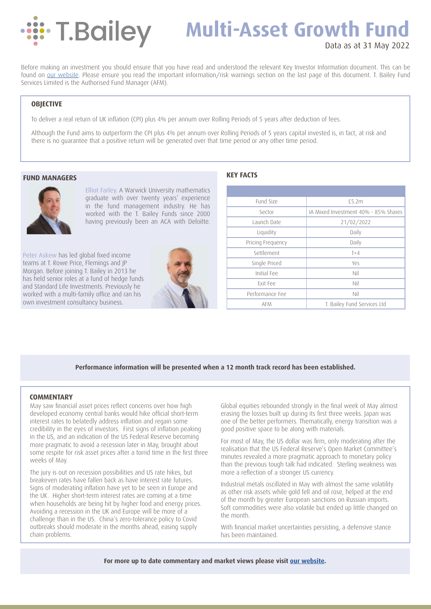

# **Multi-Asset Growth Fund**

# Data as at 31 May 2022

Before making an investment you should ensure that you have read and understood the relevant Key Investor Information document. This can be found on [our website.](https://tbaileyam.co.uk/documentation/) Please ensure you read the important information/risk warnings section on the last page of this document. T. Bailey Fund Services Limited is the Authorised Fund Manager (AFM).

### **OBJECTIVE**

To deliver a real return of UK inflation (CPI) plus 4% per annum over Rolling Periods of 5 years after deduction of fees.

Although the Fund aims to outperform the CPI plus 4% per annum over Rolling Periods of 5 years capital invested is, in fact, at risk and there is no guarantee that a positive return will be generated over that time period or any other time period.

### **FUND MANAGERS**



Elliot Farley. A Warwick University mathematics graduate with over twenty years' experience in the fund management industry. He has worked with the T. Bailey Funds since 2000 having previously been an ACA with Deloitte.

Peter Askew has led global fixed income teams at T. Rowe Price, Flemings and JP Morgan. Before joining T. Bailey in 2013 he has held senior roles at a fund of hedge funds and Standard Life Investments. Previously he worked with a multi-family office and ran his own investment consultancy business.



### **KEY FACTS**

| Fund Size         | £5.2m                                |  |  |  |  |
|-------------------|--------------------------------------|--|--|--|--|
| Sector            | IA Mixed Investment 40% - 85% Shares |  |  |  |  |
| Launch Date       | 21/02/2022                           |  |  |  |  |
| Liquidity         | Daily                                |  |  |  |  |
| Pricing Frequency | Daily                                |  |  |  |  |
| Settlement        | $T+4$                                |  |  |  |  |
| Single Priced     | Yes                                  |  |  |  |  |
| Initial Fee       | Nil                                  |  |  |  |  |
| Exit Fee          | Nil                                  |  |  |  |  |
| Performance Fee   | Nil                                  |  |  |  |  |
| <b>AFM</b>        | T. Bailey Fund Services Ltd          |  |  |  |  |

### **Performance information will be presented when a 12 month track record has been established.**

#### **COMMENTARY**

May saw financial asset prices reflect concerns over how high developed economy central banks would hike official short-term interest rates to belatedly address inflation and regain some credibility in the eyes of investors. First signs of inflation peaking in the US, and an indication of the US Federal Reserve becoming more pragmatic to avoid a recession later in May, brought about some respite for risk asset prices after a torrid time in the first three weeks of May.

The jury is out on recession possibilities and US rate hikes, but breakeven rates have fallen back as have interest rate futures. Signs of moderating inflation have yet to be seen in Europe and the UK. Higher short-term interest rates are coming at a time when households are being hit by higher food and energy prices. Avoiding a recession in the UK and Europe will be more of a challenge than in the US. China's zero-tolerance policy to Covid outbreaks should moderate in the months ahead, easing supply chain problems.

Global equities rebounded strongly in the final week of May almost erasing the losses built up during its first three weeks. Japan was one of the better performers. Thematically, energy transition was a good positive space to be along with materials.

For most of May, the US dollar was firm, only moderating after the realisation that the US Federal Reserve's Open Market Committee's minutes revealed a more pragmatic approach to monetary policy than the previous tough talk had indicated. Sterling weakness was more a reflection of a stronger US currency.

Industrial metals oscillated in May with almost the same volatility as other risk assets while gold fell and oil rose, helped at the end of the month by greater European sanctions on Russian imports. Soft commodities were also volatile but ended up little changed on the month.

With financial market uncertainties persisting, a defensive stance has been maintained.

For more up to date commentary and market views please visit [our website](https://tbaileyam.co.uk/blog/).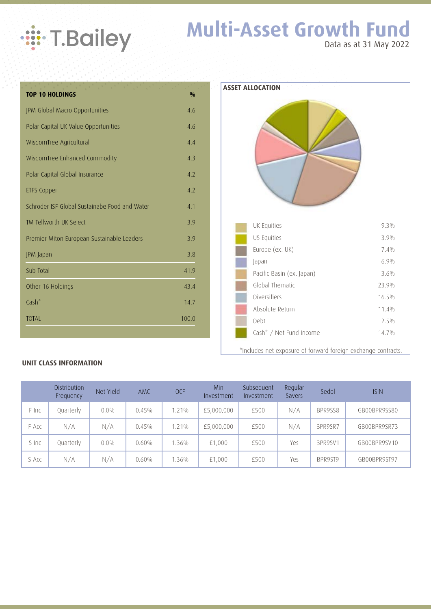

# **Multi-Asset Growth Fund** Data as at 31 May 2022

**TOP 10 HOLDINGS %** JPM Global Macro Opportunities 4.6 Polar Capital UK Value Opportunities 4.6 WisdomTree Agricultural 4.4 WisdomTree Enhanced Commodity 4.3 Polar Capital Global Insurance 4.2 ETFS Copper 4.2 Schroder ISF Global Sustainabe Food and Water 4.1 TM Tellworth UK Select 3.9 Premier Miton European Sustainable Leaders 3.9 JPM Japan 3.8 Sub Total 41.9 Other 16 Holdings 43.4  $\mathsf{Cash}^*$  14.7 TOTAL 100.0 **ASSET ALLOCATION** Cash\* / Net Fund Income 14.7%

## **UNIT CLASS INFORMATION**

|       | Distribution<br>Frequency | Net Yield | <b>AMC</b> | <b>OCF</b> | Min<br>Investment | Subsequent<br>Investment | Regular<br>Savers | Sedol   | <b>ISIN</b>  |
|-------|---------------------------|-----------|------------|------------|-------------------|--------------------------|-------------------|---------|--------------|
| F Inc | Quarterly                 | $0.0\%$   | 0.45%      | 1.21%      | £5,000,000        | £500                     | N/A               | BPR9SS8 | GB00BPR9SS80 |
| F Acc | N/A                       | N/A       | 0.45%      | 1.21%      | £5,000,000        | £500                     | N/A               | BPR9SR7 | GB00BPR9SR73 |
| S Inc | Quarterly                 | $0.0\%$   | $0.60\%$   | 1.36%      | £1,000            | £500                     | Yes               | BPR9SV1 | GB00BPR9SV10 |
| S Acc | N/A                       | N/A       | 0.60%      | 1.36%      | £1,000            | £500                     | Yes               | BPR9ST9 | GB00BPR9ST97 |

|  | ASSEL ALLOCATION          |         |
|--|---------------------------|---------|
|  | UK Equities               | $9.3\%$ |
|  | US Equities               | 3.9%    |
|  | Europe (ex. UK)           | 7.4%    |
|  | Japan                     | 6.9%    |
|  | Pacific Basin (ex. Japan) | 3.6%    |
|  | Global Thematic           | 23.9%   |
|  | Diversifiers              | 16.5%   |
|  | Absolute Return           | 11.4%   |
|  | Debt                      | $2.5\%$ |

\*Includes net exposure of forward foreign exchange contracts.